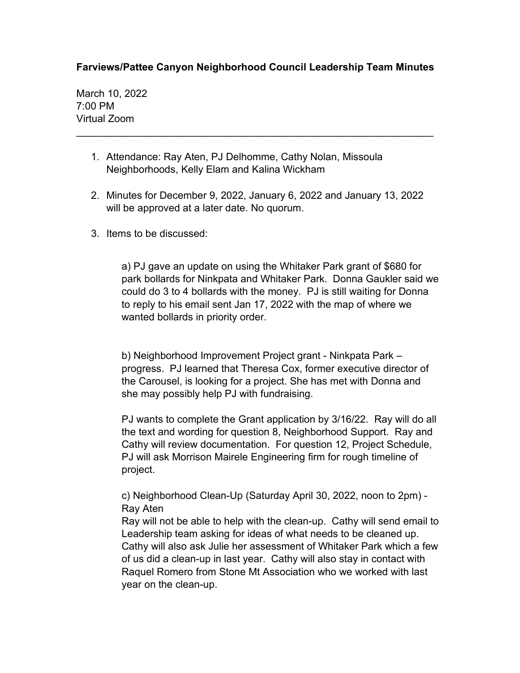## **Farviews/Pattee Canyon Neighborhood Council Leadership Team Minutes**

\_\_\_\_\_\_\_\_\_\_\_\_\_\_\_\_\_\_\_\_\_\_\_\_\_\_\_\_\_\_\_\_\_\_\_\_\_\_\_\_\_\_\_\_\_\_\_\_\_\_\_\_\_\_\_\_\_\_\_\_\_\_\_

March 10, 2022 7:00 PM Virtual Zoom

- 1. Attendance: Ray Aten, PJ Delhomme, Cathy Nolan, Missoula Neighborhoods, Kelly Elam and Kalina Wickham
- 2. Minutes for December 9, 2022, January 6, 2022 and January 13, 2022 will be approved at a later date. No quorum.
- 3. Items to be discussed:

a) PJ gave an update on using the Whitaker Park grant of \$680 for park bollards for Ninkpata and Whitaker Park. Donna Gaukler said we could do 3 to 4 bollards with the money. PJ is still waiting for Donna to reply to his email sent Jan 17, 2022 with the map of where we wanted bollards in priority order.

b) Neighborhood Improvement Project grant - Ninkpata Park – progress. PJ learned that Theresa Cox, former executive director of the Carousel, is looking for a project. She has met with Donna and she may possibly help PJ with fundraising.

PJ wants to complete the Grant application by 3/16/22. Ray will do all the text and wording for question 8, Neighborhood Support. Ray and Cathy will review documentation. For question 12, Project Schedule, PJ will ask Morrison Mairele Engineering firm for rough timeline of project.

c) Neighborhood Clean-Up (Saturday April 30, 2022, noon to 2pm) - Ray Aten

Ray will not be able to help with the clean-up. Cathy will send email to Leadership team asking for ideas of what needs to be cleaned up. Cathy will also ask Julie her assessment of Whitaker Park which a few of us did a clean-up in last year. Cathy will also stay in contact with Raquel Romero from Stone Mt Association who we worked with last year on the clean-up.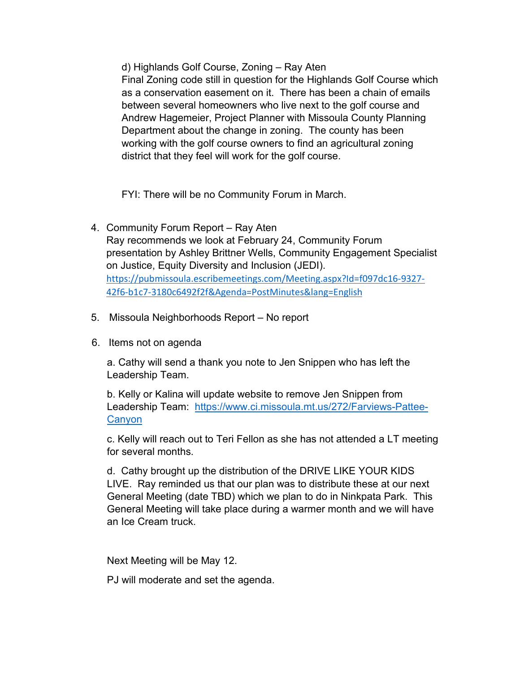d) Highlands Golf Course, Zoning – Ray Aten

Final Zoning code still in question for the Highlands Golf Course which as a conservation easement on it. There has been a chain of emails between several homeowners who live next to the golf course and Andrew Hagemeier, Project Planner with Missoula County Planning Department about the change in zoning. The county has been working with the golf course owners to find an agricultural zoning district that they feel will work for the golf course.

FYI: There will be no Community Forum in March.

- 4. Community Forum Report Ray Aten Ray recommends we look at February 24, Community Forum presentation by Ashley Brittner Wells, Community Engagement Specialist on Justice, Equity Diversity and Inclusion (JEDI). [https://pubmissoula.escribemeetings.com/Meeting.aspx?Id=f097dc16-9327-](https://pubmissoula.escribemeetings.com/Meeting.aspx?Id=f097dc16-9327-42f6-b1c7-3180c6492f2f&Agenda=PostMinutes&lang=English) [42f6-b1c7-3180c6492f2f&Agenda=PostMinutes&lang=English](https://pubmissoula.escribemeetings.com/Meeting.aspx?Id=f097dc16-9327-42f6-b1c7-3180c6492f2f&Agenda=PostMinutes&lang=English)
- 5. Missoula Neighborhoods Report No report
- 6. Items not on agenda

a. Cathy will send a thank you note to Jen Snippen who has left the Leadership Team.

b. Kelly or Kalina will update website to remove Jen Snippen from Leadership Team: [https://www.ci.missoula.mt.us/272/Farviews-Pattee-](https://www.ci.missoula.mt.us/272/Farviews-Pattee-Canyon)**[Canyon](https://www.ci.missoula.mt.us/272/Farviews-Pattee-Canyon)** 

c. Kelly will reach out to Teri Fellon as she has not attended a LT meeting for several months.

d. Cathy brought up the distribution of the DRIVE LIKE YOUR KIDS LIVE. Ray reminded us that our plan was to distribute these at our next General Meeting (date TBD) which we plan to do in Ninkpata Park. This General Meeting will take place during a warmer month and we will have an Ice Cream truck.

Next Meeting will be May 12.

PJ will moderate and set the agenda.